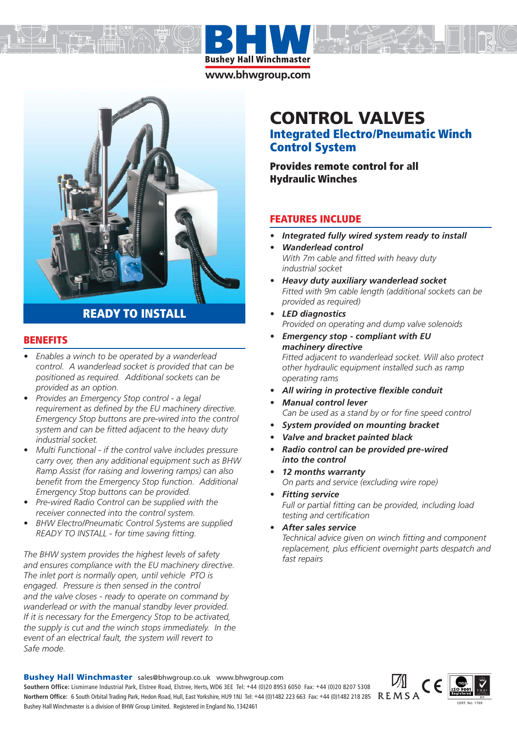

www.bhwgroup.com



# **READY TO INSTALL**

### **BENEFITS**

- *Enables a winch to be operated by a wanderlead control. A wanderlead socket is provided that can be positioned as required. Additional sockets can be provided as an option.*
- *Provides an Emergency Stop control a legal requirement as defined by the EU machinery directive. Emergency Stop buttons are pre-wired into the control system and can be fitted adjacent to the heavy duty industrial socket.*
- *Multi Functional if the control valve includes pressure carry over, then any additional equipment such as BHW Ramp Assist (for raising and lowering ramps) can also benefit from the Emergency Stop function. Additional Emergency Stop buttons can be provided.*
- *Pre-wired Radio Control can be supplied with the receiver connected into the control system.*
- *BHW Electro/Pneumatic Control Systems are supplied READY TO INSTALL - for time saving fitting.*

*The BHW system provides the highest levels of safety and ensures compliance with the EU machinery directive. The inlet port is normally open, until vehicle PTO is engaged. Pressure is then sensed in the control and the valve closes - ready to operate on command by wanderlead or with the manual standby lever provided. If it is necessary for the Emergency Stop to be activated, the supply is cut and the winch stops immediately. In the event of an electrical fault, the system will revert to Safe mode.*

# **CONTROL VALVES**

# **Integrated Electro/Pneumatic Winch Control System**

**Provides remote control for all Hydraulic Winches**

## **FEATURES INCLUDE**

- *Integrated fully wired system ready to install*
- *Wanderlead control With 7m cable and fitted with heavy duty industrial socket*
- *Heavy duty auxiliary wanderlead socket Fitted with 9m cable length (additional sockets can be provided as required)*
- *LED diagnostics Provided on operating and dump valve solenoids*
- *Emergency stop compliant with EU machinery directive Fitted adjacent to wanderlead socket. Will also protect other hydraulic equipment installed such as ramp operating rams*
- *All wiring in protective flexible conduit*
- *Manual control lever Can be used as a stand by or for fine speed control*
- *System provided on mounting bracket*
- *Valve and bracket painted black*
- *Radio control can be provided pre-wired into the control*
- *12 months warranty On parts and service (excluding wire rope)*
- *Fitting service Full or partial fitting can be provided, including load testing and certification*
- *After sales service Technical advice given on winch fitting and component replacement, plus efficient overnight parts despatch and fast repairs*

**Bushey Hall Winchmaster** sales@bhwgroup.co.uk www.bhwgroup.com **Southern Office:** Lismirrane Industrial Park, Elstree Road, Elstree, Herts, WD6 3EE Tel: +44 (0)20 8953 6050 Fax: +44 (0)20 8207 5308 Northern Office: 6 South Orbital Trading Park, Hedon Road, Hull, East Yorkshire, HU9 1NJ Tel: +44 (0)1482 223 663 Fax: +44 (0)1482 218 285 R E M S A Bushey Hall Winchmaster is a division of BHW Group Limited. Registered in England No. 1342461